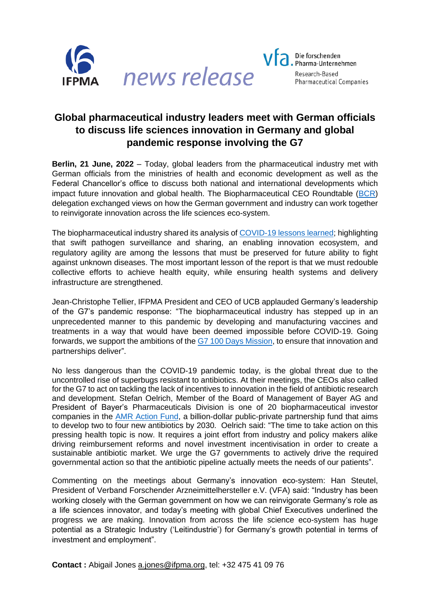

## **Global pharmaceutical industry leaders meet with German officials to discuss life sciences innovation in Germany and global pandemic response involving the G7**

**Berlin, 21 June, 2022** – Today, global leaders from the pharmaceutical industry met with German officials from the ministries of health and economic development as well as the Federal Chancellor's office to discuss both national and international developments which impact future innovation and global health. The Biopharmaceutical CEO Roundtable [\(BCR\)](https://www.ifpma.org/biopharmaceutical-ceos-roundtable-bcr/) delegation exchanged views on how the German government and industry can work together to reinvigorate innovation across the life sciences eco-system.

The biopharmaceutical industry shared its analysis of [COVID-19 lessons learned;](https://www.ifpma.org/resource-centre/applying-lessons-learned-from-covid-19-to-create-a-healthier-safer-more-equitable-world/) highlighting that swift pathogen surveillance and sharing, an enabling innovation ecosystem, and regulatory agility are among the lessons that must be preserved for future ability to fight against unknown diseases. The most important lesson of the report is that we must redouble collective efforts to achieve health equity, while ensuring health systems and delivery infrastructure are strengthened.

Jean-Christophe Tellier, IFPMA President and CEO of UCB applauded Germany's leadership of the G7's pandemic response: "The biopharmaceutical industry has stepped up in an unprecedented manner to this pandemic by developing and manufacturing vaccines and treatments in a way that would have been deemed impossible before COVID-19. Going forwards, we support the ambitions of th[e G7 100 Days Mission,](https://www.ifpma.org/resource-centre/biopharmaceutical-industry-collaborates-on-the-implementation-of-the-g7-100-days-mission-to-improve-readiness-for-future-pandemics/) to ensure that innovation and partnerships deliver".

No less dangerous than the COVID-19 pandemic today, is the global threat due to the uncontrolled rise of superbugs resistant to antibiotics. At their meetings, the CEOs also called for the G7 to act on tackling the lack of incentives to innovation in the field of antibiotic research and development. Stefan Oelrich, Member of the Board of Management of Bayer AG and President of Bayer's Pharmaceuticals Division is one of 20 biopharmaceutical investor companies in the [AMR Action Fund,](https://www.amractionfund.com/) a billion-dollar public-private partnership fund that aims to develop two to four new antibiotics by 2030. Oelrich said: "The time to take action on this pressing health topic is now. It requires a joint effort from industry and policy makers alike driving reimbursement reforms and novel investment incentivisation in order to create a sustainable antibiotic market. We urge the G7 governments to actively drive the required governmental action so that the antibiotic pipeline actually meets the needs of our patients".

Commenting on the meetings about Germany's innovation eco-system: Han Steutel, President of Verband Forschender Arzneimittelhersteller e.V. (VFA) said: "Industry has been working closely with the German government on how we can reinvigorate Germany's role as a life sciences innovator, and today's meeting with global Chief Executives underlined the progress we are making. Innovation from across the life science eco-system has huge potential as a Strategic Industry ('Leitindustrie') for Germany's growth potential in terms of investment and employment".